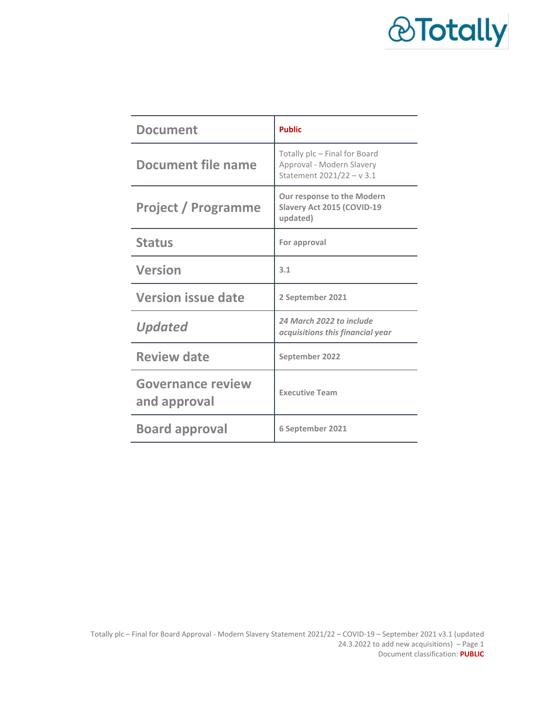# **&Totally**

| <b>Document</b>                          | <b>Public</b>                                                                           |
|------------------------------------------|-----------------------------------------------------------------------------------------|
| Document file name                       | Totally plc - Final for Board<br>Approval - Modern Slavery<br>Statement 2021/22 - v 3.1 |
| <b>Project / Programme</b>               | Our response to the Modern<br>Slavery Act 2015 (COVID-19<br>updated)                    |
| <b>Status</b>                            | For approval                                                                            |
| <b>Version</b>                           | 3.1                                                                                     |
| <b>Version issue date</b>                | 2 September 2021                                                                        |
| <b>Updated</b>                           | 24 March 2022 to include<br>acquisitions this financial year                            |
| <b>Review date</b>                       | September 2022                                                                          |
| <b>Governance review</b><br>and approval | <b>Executive Team</b>                                                                   |
| <b>Board approval</b>                    | 6 September 2021                                                                        |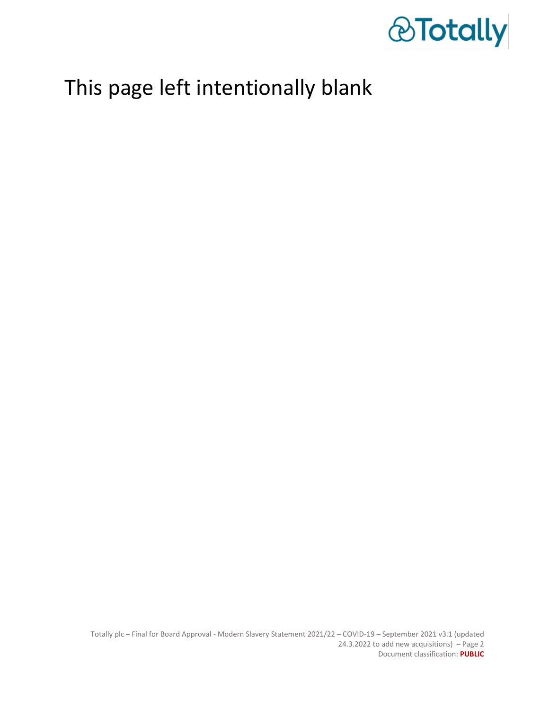

# This page left intentionally blank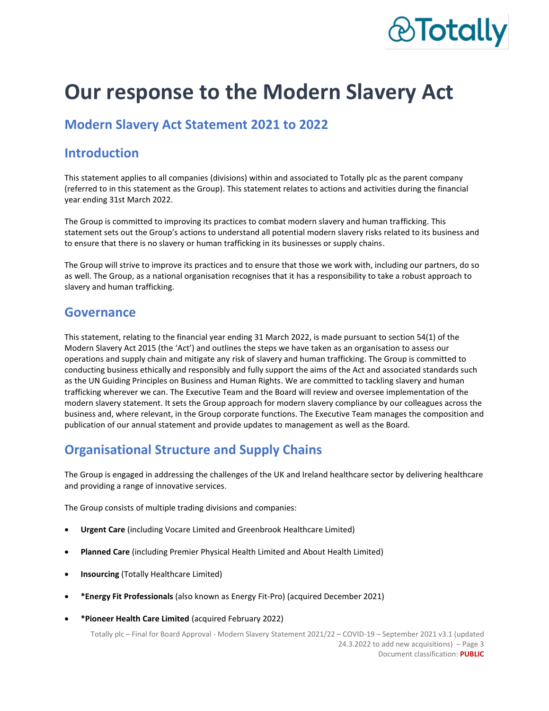# **DTotally**

# **Our response to the Modern Slavery Act**

### **Modern Slavery Act Statement 2021 to 2022**

#### **Introduction**

This statement applies to all companies (divisions) within and associated to Totally plc as the parent company (referred to in this statement as the Group). This statement relates to actions and activities during the financial year ending 31st March 2022.

The Group is committed to improving its practices to combat modern slavery and human trafficking. This statement sets out the Group's actions to understand all potential modern slavery risks related to its business and to ensure that there is no slavery or human trafficking in its businesses or supply chains.

The Group will strive to improve its practices and to ensure that those we work with, including our partners, do so as well. The Group, as a national organisation recognises that it has a responsibility to take a robust approach to slavery and human trafficking.

#### **Governance**

This statement, relating to the financial year ending 31 March 2022, is made pursuant to section 54(1) of the Modern Slavery Act 2015 (the 'Act') and outlines the steps we have taken as an organisation to assess our operations and supply chain and mitigate any risk of slavery and human trafficking. The Group is committed to conducting business ethically and responsibly and fully support the aims of the Act and associated standards such as the UN Guiding Principles on Business and Human Rights. We are committed to tackling slavery and human trafficking wherever we can. The Executive Team and the Board will review and oversee implementation of the modern slavery statement. It sets the Group approach for modern slavery compliance by our colleagues across the business and, where relevant, in the Group corporate functions. The Executive Team manages the composition and publication of our annual statement and provide updates to management as well as the Board.

## **Organisational Structure and Supply Chains**

The Group is engaged in addressing the challenges of the UK and Ireland healthcare sector by delivering healthcare and providing a range of innovative services.

The Group consists of multiple trading divisions and companies:

- **Urgent Care** (including Vocare Limited and Greenbrook Healthcare Limited)
- **Planned Care** (including Premier Physical Health Limited and About Health Limited)
- **Insourcing** (Totally Healthcare Limited)
- **\*Energy Fit Professionals** (also known as Energy Fit-Pro) (acquired December 2021)
- **\*Pioneer Health Care Limited** (acquired February 2022)

Totally plc – Final for Board Approval - Modern Slavery Statement 2021/22 – COVID-19 – September 2021 v3.1 (updated 24.3.2022 to add new acquisitions)  $-$  Page 3 Document classification: **PUBLIC**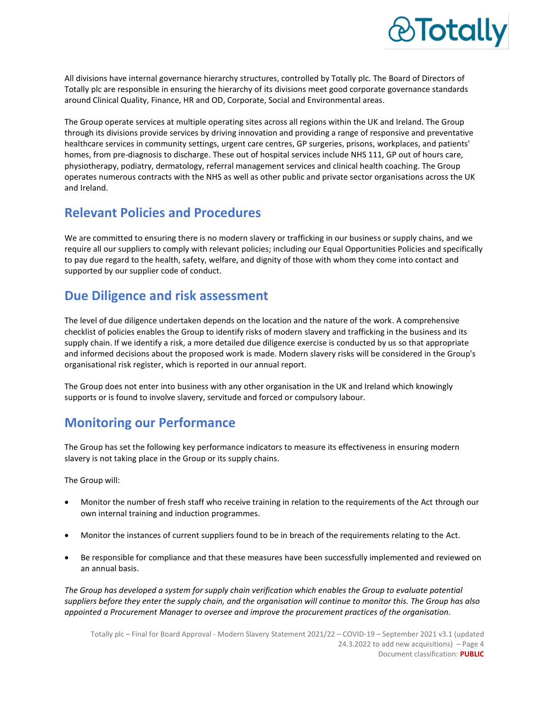

All divisions have internal governance hierarchy structures, controlled by Totally plc. The Board of Directors of Totally plc are responsible in ensuring the hierarchy of its divisions meet good corporate governance standards around Clinical Quality, Finance, HR and OD, Corporate, Social and Environmental areas.

The Group operate services at multiple operating sites across all regions within the UK and Ireland. The Group through its divisions provide services by driving innovation and providing a range of responsive and preventative healthcare services in community settings, urgent care centres, GP surgeries, prisons, workplaces, and patients' homes, from pre-diagnosis to discharge. These out of hospital services include NHS 111, GP out of hours care, physiotherapy, podiatry, dermatology, referral management services and clinical health coaching. The Group operates numerous contracts with the NHS as well as other public and private sector organisations across the UK and Ireland.

#### **Relevant Policies and Procedures**

We are committed to ensuring there is no modern slavery or trafficking in our business or supply chains, and we require all our suppliers to comply with relevant policies; including our Equal Opportunities Policies and specifically to pay due regard to the health, safety, welfare, and dignity of those with whom they come into contact and supported by our supplier code of conduct.

#### **Due Diligence and risk assessment**

The level of due diligence undertaken depends on the location and the nature of the work. A comprehensive checklist of policies enables the Group to identify risks of modern slavery and trafficking in the business and its supply chain. If we identify a risk, a more detailed due diligence exercise is conducted by us so that appropriate and informed decisions about the proposed work is made. Modern slavery risks will be considered in the Group's organisational risk register, which is reported in our annual report.

The Group does not enter into business with any other organisation in the UK and Ireland which knowingly supports or is found to involve slavery, servitude and forced or compulsory labour.

#### **Monitoring our Performance**

The Group has set the following key performance indicators to measure its effectiveness in ensuring modern slavery is not taking place in the Group or its supply chains.

The Group will:

- Monitor the number of fresh staff who receive training in relation to the requirements of the Act through our own internal training and induction programmes.
- Monitor the instances of current suppliers found to be in breach of the requirements relating to the Act.
- Be responsible for compliance and that these measures have been successfully implemented and reviewed on an annual basis.

*The Group has developed a system for supply chain verification which enables the Group to evaluate potential suppliers before they enter the supply chain, and the organisation will continue to monitor this. The Group has also appointed a Procurement Manager to oversee and improve the procurement practices of the organisation.*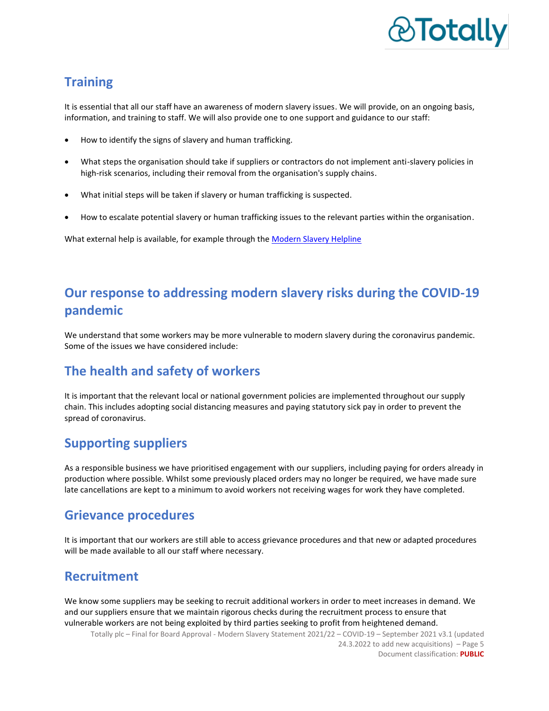

## **Training**

It is essential that all our staff have an awareness of modern slavery issues. We will provide, on an ongoing basis, information, and training to staff. We will also provide one to one support and guidance to our staff:

- How to identify the signs of slavery and human trafficking.
- What steps the organisation should take if suppliers or contractors do not implement anti-slavery policies in high-risk scenarios, including their removal from the organisation's supply chains.
- What initial steps will be taken if slavery or human trafficking is suspected.
- How to escalate potential slavery or human trafficking issues to the relevant parties within the organisation.

What external help is available, for example through the [Modern Slavery Helpline](https://www.modernslaveryhelpline.org/)

# **Our response to addressing modern slavery risks during the COVID-19 pandemic**

We understand that some workers may be more vulnerable to modern slavery during the coronavirus pandemic. Some of the issues we have considered include:

#### **The health and safety of workers**

It is important that the relevant local or national government policies are implemented throughout our supply chain. This includes adopting social distancing measures and paying statutory sick pay in order to prevent the spread of coronavirus.

### **Supporting suppliers**

As a responsible business we have prioritised engagement with our suppliers, including paying for orders already in production where possible. Whilst some previously placed orders may no longer be required, we have made sure late cancellations are kept to a minimum to avoid workers not receiving wages for work they have completed.

#### **Grievance procedures**

It is important that our workers are still able to access grievance procedures and that new or adapted procedures will be made available to all our staff where necessary.

#### **Recruitment**

We know some suppliers may be seeking to recruit additional workers in order to meet increases in demand. We and our suppliers ensure that we maintain rigorous checks during the recruitment process to ensure that vulnerable workers are not being exploited by third parties seeking to profit from heightened demand.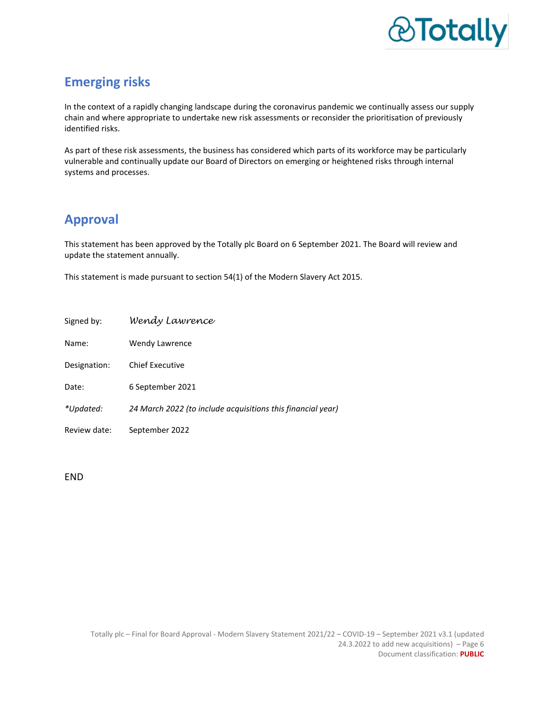

## **Emerging risks**

In the context of a rapidly changing landscape during the coronavirus pandemic we continually assess our supply chain and where appropriate to undertake new risk assessments or reconsider the prioritisation of previously identified risks.

As part of these risk assessments, the business has considered which parts of its workforce may be particularly vulnerable and continually update our Board of Directors on emerging or heightened risks through internal systems and processes.

#### **Approval**

This statement has been approved by the Totally plc Board on 6 September 2021. The Board will review and update the statement annually.

This statement is made pursuant to section 54(1) of the Modern Slavery Act 2015.

| Signed by:   | Wendy Lawrence                                              |
|--------------|-------------------------------------------------------------|
| Name:        | Wendy Lawrence                                              |
| Designation: | <b>Chief Executive</b>                                      |
| Date:        | 6 September 2021                                            |
| *Updated:    | 24 March 2022 (to include acquisitions this financial year) |
| Review date: | September 2022                                              |

END